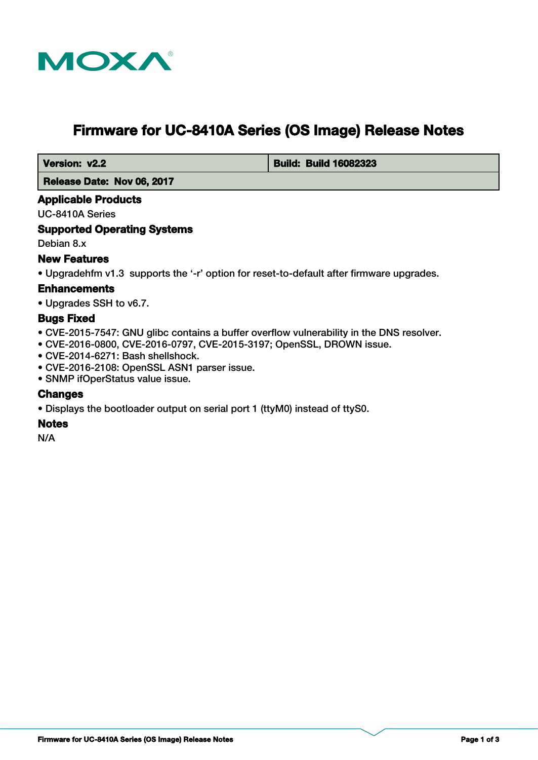

# **Firmware for UC-8410A Series (OS Image) Release Notes**

 **Version: v2.2 Build: Build: Build 16082323** 

 **Release Date: Nov 06, 2017**

# **Applicable Products**

UC-8410A Series

# **Supported Operating Systems**

Debian 8.x

# **New Features**

• Upgradehfm v1.3 supports the '-r' option for reset-to-default after firmware upgrades.

# **Enhancements**

• Upgrades SSH to v6.7.

## **Bugs Fixed**

- CVE-2015-7547: GNU glibc contains a buffer overflow vulnerability in the DNS resolver.
- CVE-2016-0800, CVE-2016-0797, CVE-2015-3197; OpenSSL, DROWN issue.
- CVE-2014-6271: Bash shellshock.
- CVE-2016-2108: OpenSSL ASN1 parser issue.
- SNMP ifOperStatus value issue.

#### **Changes**

• Displays the bootloader output on serial port 1 (ttyM0) instead of ttyS0.

#### **Notes**

N/A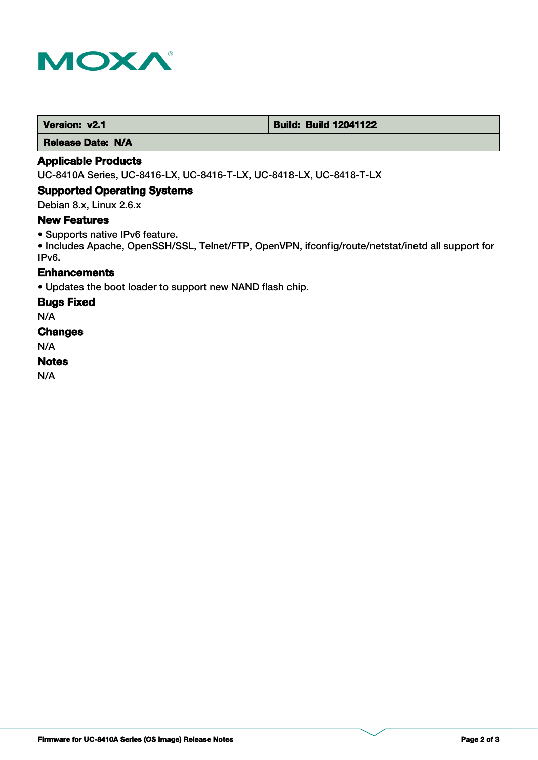

 **Version: v2.1 Build: Build: Build 12041122** 

 **Release Date: N/A**

## **Applicable Products**

UC-8410A Series, UC-8416-LX, UC-8416-T-LX, UC-8418-LX, UC-8418-T-LX

#### **Supported Operating Systems**

Debian 8.x, Linux 2.6.x

## **New Features**

• Supports native IPv6 feature.

• Includes Apache, OpenSSH/SSL, Telnet/FTP, OpenVPN, ifconfig/route/netstat/inetd all support for IPv6.

# **Enhancements**

• Updates the boot loader to support new NAND flash chip.

#### **Bugs Fixed**

N/A

## **Changes**

N/A

## **Notes**

N/A